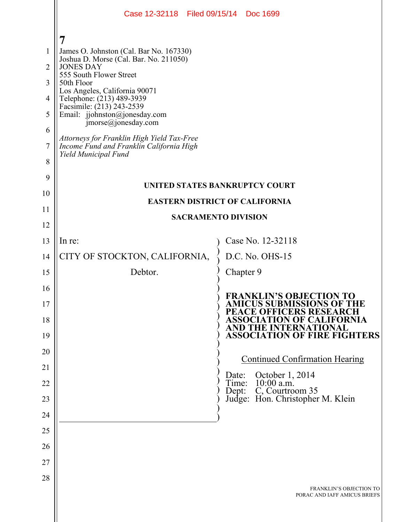|                | Case 12-32118 Filed 09/15/14 Doc 1699                                                                          |                                                                                                  |  |
|----------------|----------------------------------------------------------------------------------------------------------------|--------------------------------------------------------------------------------------------------|--|
|                | 7                                                                                                              |                                                                                                  |  |
| $\mathbf{1}$   | James O. Johnston (Cal. Bar No. 167330)                                                                        |                                                                                                  |  |
| $\overline{2}$ | Joshua D. Morse (Cal. Bar. No. 211050)<br><b>JONES DAY</b>                                                     |                                                                                                  |  |
| 3              | 555 South Flower Street<br>50th Floor                                                                          |                                                                                                  |  |
| 4              | Los Angeles, California 90071<br>Telephone: (213) 489-3939                                                     |                                                                                                  |  |
| 5              | Facsimile: (213) 243-2539<br>Email: jjohnston@jonesday.com                                                     |                                                                                                  |  |
| 6              | $\text{imorse}(a)$ jonesday.com                                                                                |                                                                                                  |  |
| 7              | Attorneys for Franklin High Yield Tax-Free<br>Income Fund and Franklin California High<br>Yield Municipal Fund |                                                                                                  |  |
| 8              |                                                                                                                |                                                                                                  |  |
| 9              |                                                                                                                | <b>UNITED STATES BANKRUPTCY COURT</b>                                                            |  |
| 10             | <b>EASTERN DISTRICT OF CALIFORNIA</b>                                                                          |                                                                                                  |  |
| 11             | <b>SACRAMENTO DIVISION</b>                                                                                     |                                                                                                  |  |
| 12             |                                                                                                                |                                                                                                  |  |
| 13             | In re:                                                                                                         | Case No. 12-32118                                                                                |  |
| 14             | CITY OF STOCKTON, CALIFORNIA,                                                                                  | D.C. No. OHS-15                                                                                  |  |
| 15             | Debtor.                                                                                                        | Chapter 9                                                                                        |  |
| 16             |                                                                                                                | <b>FRANKLIN'S OBJECTION TO</b><br><b>AMICUS SUBMISSIONS OF THE</b>                               |  |
| 17             |                                                                                                                | <b>PEACE OFFICERS RESEARCH</b>                                                                   |  |
| 18             |                                                                                                                | <b>ASSOCIATION OF CALIFORNIA</b><br>AND THE INTERNATIONAL<br><b>ASSOCIATION OF FIRE FIGHTERS</b> |  |
| 19<br>20       |                                                                                                                |                                                                                                  |  |
| 21             |                                                                                                                | <b>Continued Confirmation Hearing</b>                                                            |  |
| 22             |                                                                                                                | October 1, 2014<br>Date:<br>$10:00$ a.m.<br>Time:                                                |  |
| 23             |                                                                                                                | C, Courtroom 35<br>Dep:<br>Judge: Hon. Christopher M. Klein                                      |  |
| 24             |                                                                                                                |                                                                                                  |  |
| 25             |                                                                                                                |                                                                                                  |  |
| 26             |                                                                                                                |                                                                                                  |  |
| 27             |                                                                                                                |                                                                                                  |  |
| 28             |                                                                                                                |                                                                                                  |  |
|                |                                                                                                                | FRANKLIN'S OBJECTION TO<br>PORAC AND IAFF AMICUS BRIEFS                                          |  |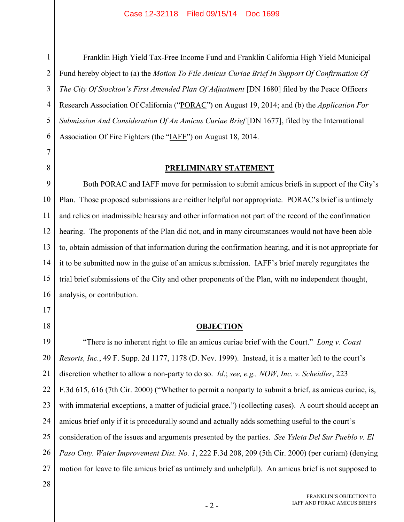Franklin High Yield Tax-Free Income Fund and Franklin California High Yield Municipal Fund hereby object to (a) the *Motion To File Amicus Curiae Brief In Support Of Confirmation Of The City Of Stockton's First Amended Plan Of Adjustment* [DN 1680] filed by the Peace Officers Research Association Of California ("PORAC") on August 19, 2014; and (b) the *Application For Submission And Consideration Of An Amicus Curiae Brief* [DN 1677], filed by the International Association Of Fire Fighters (the "IAFF") on August 18, 2014.

#### **PRELIMINARY STATEMENT**

9 Both PORAC and IAFF move for permission to submit amicus briefs in support of the City's Plan. Those proposed submissions are neither helpful nor appropriate. PORAC's brief is untimely and relies on inadmissible hearsay and other information not part of the record of the confirmation hearing. The proponents of the Plan did not, and in many circumstances would not have been able to, obtain admission of that information during the confirmation hearing, and it is not appropriate for it to be submitted now in the guise of an amicus submission. IAFF's brief merely regurgitates the trial brief submissions of the City and other proponents of the Plan, with no independent thought, analysis, or contribution.

### **OBJECTION**

19 20 21 22 23 24 25 26 27 "There is no inherent right to file an amicus curiae brief with the Court." *Long v. Coast Resorts, Inc.*, 49 F. Supp. 2d 1177, 1178 (D. Nev. 1999). Instead, it is a matter left to the court's discretion whether to allow a non-party to do so. *Id*.; *see, e.g., NOW, Inc. v. Scheidler*, 223 F.3d 615, 616 (7th Cir. 2000) ("Whether to permit a nonparty to submit a brief, as amicus curiae, is, with immaterial exceptions, a matter of judicial grace.") (collecting cases). A court should accept an amicus brief only if it is procedurally sound and actually adds something useful to the court's consideration of the issues and arguments presented by the parties. *See Ysleta Del Sur Pueblo v. El Paso Cnty. Water Improvement Dist. No. 1*, 222 F.3d 208, 209 (5th Cir. 2000) (per curiam) (denying motion for leave to file amicus brief as untimely and unhelpful). An amicus brief is not supposed to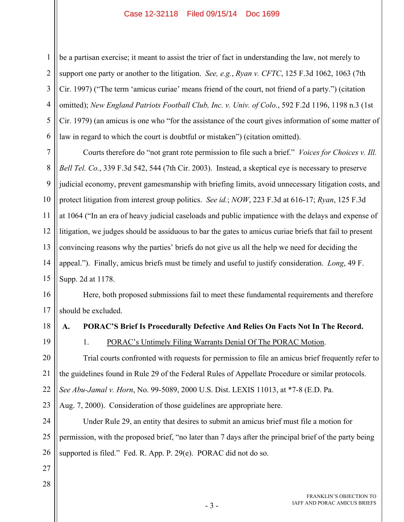#### Case 12-32118 Filed 09/15/14 Doc 1699

1

2

3

be a partisan exercise; it meant to assist the trier of fact in understanding the law, not merely to support one party or another to the litigation. *See, e.g.*, *Ryan v. CFTC*, 125 F.3d 1062, 1063 (7th Cir. 1997) ("The term 'amicus curiae' means friend of the court, not friend of a party.") (citation omitted); *New England Patriots Football Club, Inc. v. Univ. of Colo.*, 592 F.2d 1196, 1198 n.3 (1st Cir. 1979) (an amicus is one who "for the assistance of the court gives information of some matter of law in regard to which the court is doubtful or mistaken") (citation omitted).

7 8 9 10 11 12 13 14 15 Courts therefore do "not grant rote permission to file such a brief." *Voices for Choices v. Ill. Bell Tel. Co.*, 339 F.3d 542, 544 (7th Cir. 2003). Instead, a skeptical eye is necessary to preserve judicial economy, prevent gamesmanship with briefing limits, avoid unnecessary litigation costs, and protect litigation from interest group politics. *See id.*; *NOW*, 223 F.3d at 616-17; *Ryan*, 125 F.3d at 1064 ("In an era of heavy judicial caseloads and public impatience with the delays and expense of litigation, we judges should be assiduous to bar the gates to amicus curiae briefs that fail to present convincing reasons why the parties' briefs do not give us all the help we need for deciding the appeal."). Finally, amicus briefs must be timely and useful to justify consideration. *Long*, 49 F. Supp. 2d at 1178.

16 17 Here, both proposed submissions fail to meet these fundamental requirements and therefore should be excluded.

18

**A. PORAC'S Brief Is Procedurally Defective And Relies On Facts Not In The Record.** 

19

1. PORAC's Untimely Filing Warrants Denial Of The PORAC Motion.

20 21 Trial courts confronted with requests for permission to file an amicus brief frequently refer to the guidelines found in Rule 29 of the Federal Rules of Appellate Procedure or similar protocols.

22 *See Abu-Jamal v. Horn*, No. 99-5089, 2000 U.S. Dist. LEXIS 11013, at \*7-8 (E.D. Pa.

23 Aug. 7, 2000). Consideration of those guidelines are appropriate here.

24 25 26 Under Rule 29, an entity that desires to submit an amicus brief must file a motion for permission, with the proposed brief, "no later than 7 days after the principal brief of the party being supported is filed." Fed. R. App. P. 29(e). PORAC did not do so.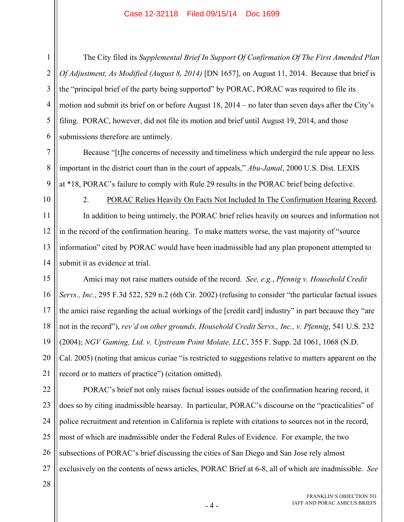#### Case 12-32118 Filed 09/15/14 Doc 1699

The City filed its *Supplemental Brief In Support Of Confirmation Of The First Amended Plan Of Adjustment, As Modified (August 8, 2014)* [DN 1657], on August 11, 2014. Because that brief is the "principal brief of the party being supported" by PORAC, PORAC was required to file its motion and submit its brief on or before August 18, 2014 – no later than seven days after the City's filing. PORAC, however, did not file its motion and brief until August 19, 2014, and those submissions therefore are untimely.

Because "[t]he concerns of necessity and timeliness which undergird the rule appear no less important in the district court than in the court of appeals," *Abu-Jamal*, 2000 U.S. Dist. LEXIS at \*18, PORAC's failure to comply with Rule 29 results in the PORAC brief being defective.

10

11

12

13

14

1

2

3

4

5

6

7

8

9

2. PORAC Relies Heavily On Facts Not Included In The Confirmation Hearing Record. In addition to being untimely, the PORAC brief relies heavily on sources and information not in the record of the confirmation hearing. To make matters worse, the vast majority of "source information" cited by PORAC would have been inadmissible had any plan proponent attempted to submit it as evidence at trial.

15 16 17 18 19 20 21 Amici may not raise matters outside of the record. *See, e.g.*, *Pfennig v. Household Credit Servs., Inc.*, 295 F.3d 522, 529 n.2 (6th Cir. 2002) (refusing to consider "the particular factual issues the amici raise regarding the actual workings of the [credit card] industry" in part because they "are not in the record"), *rev'd on other grounds, Household Credit Servs., Inc., v. Pfennig*, 541 U.S. 232 (2004); *NGV Gaming, Ltd. v. Upstream Point Molate, LLC*, 355 F. Supp. 2d 1061, 1068 (N.D. Cal. 2005) (noting that amicus curiae "is restricted to suggestions relative to matters apparent on the record or to matters of practice") (citation omitted).

22 23 24 25 26 27 PORAC's brief not only raises factual issues outside of the confirmation hearing record, it does so by citing inadmissible hearsay. In particular, PORAC's discourse on the "practicalities" of police recruitment and retention in California is replete with citations to sources not in the record, most of which are inadmissible under the Federal Rules of Evidence. For example, the two subsections of PORAC's brief discussing the cities of San Diego and San Jose rely almost exclusively on the contents of news articles, PORAC Brief at 6-8, all of which are inadmissible. *See*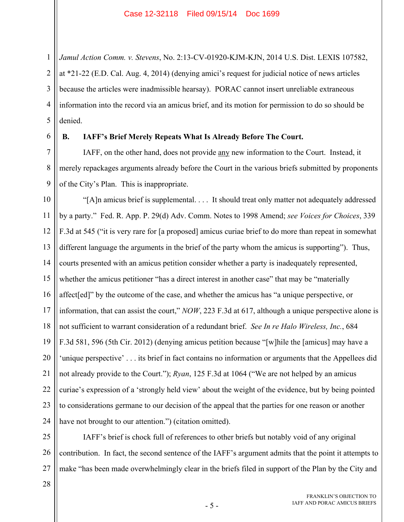*Jamul Action Comm. v. Stevens*, No. 2:13-CV-01920-KJM-KJN, 2014 U.S. Dist. LEXIS 107582, at \*21-22 (E.D. Cal. Aug. 4, 2014) (denying amici's request for judicial notice of news articles because the articles were inadmissible hearsay). PORAC cannot insert unreliable extraneous information into the record via an amicus brief, and its motion for permission to do so should be denied.

6

1

2

3

4

5

7

8

9

## **B. IAFF's Brief Merely Repeats What Is Already Before The Court.**

IAFF, on the other hand, does not provide any new information to the Court. Instead, it merely repackages arguments already before the Court in the various briefs submitted by proponents of the City's Plan. This is inappropriate.

10 11 12 13 14 15 16 17 18 19 20 21 22 23 24 "[A]n amicus brief is supplemental. . . . It should treat only matter not adequately addressed by a party." Fed. R. App. P. 29(d) Adv. Comm. Notes to 1998 Amend; *see Voices for Choices*, 339 F.3d at 545 ("it is very rare for [a proposed] amicus curiae brief to do more than repeat in somewhat different language the arguments in the brief of the party whom the amicus is supporting"). Thus, courts presented with an amicus petition consider whether a party is inadequately represented, whether the amicus petitioner "has a direct interest in another case" that may be "materially affect[ed]" by the outcome of the case, and whether the amicus has "a unique perspective, or information, that can assist the court," *NOW*, 223 F.3d at 617, although a unique perspective alone is not sufficient to warrant consideration of a redundant brief. *See In re Halo Wireless, Inc.*, 684 F.3d 581, 596 (5th Cir. 2012) (denying amicus petition because "[w]hile the [amicus] may have a 'unique perspective' . . . its brief in fact contains no information or arguments that the Appellees did not already provide to the Court."); *Ryan*, 125 F.3d at 1064 ("We are not helped by an amicus curiae's expression of a 'strongly held view' about the weight of the evidence, but by being pointed to considerations germane to our decision of the appeal that the parties for one reason or another have not brought to our attention.") (citation omitted).

25 26 27 IAFF's brief is chock full of references to other briefs but notably void of any original contribution. In fact, the second sentence of the IAFF's argument admits that the point it attempts to make "has been made overwhelmingly clear in the briefs filed in support of the Plan by the City and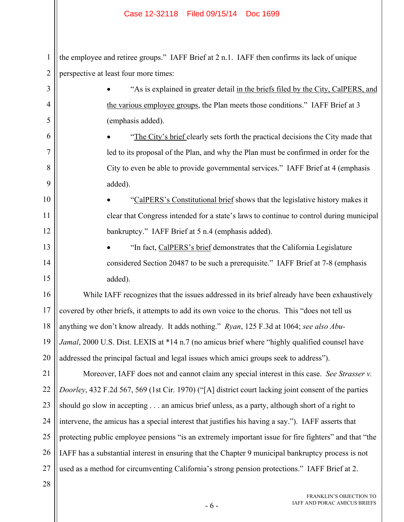the employee and retiree groups." IAFF Brief at 2 n.1. IAFF then confirms its lack of unique perspective at least four more times:

3 4 5 6 7 8 9 10 11 12 13 14 15 16 17 18 19 20 21 22 23 24 25 "As is explained in greater detail in the briefs filed by the City, CalPERS, and the various employee groups, the Plan meets those conditions." IAFF Brief at 3 (emphasis added). "The City's brief clearly sets forth the practical decisions the City made that led to its proposal of the Plan, and why the Plan must be confirmed in order for the City to even be able to provide governmental services." IAFF Brief at 4 (emphasis added). "CalPERS's Constitutional brief shows that the legislative history makes it clear that Congress intended for a state's laws to continue to control during municipal bankruptcy." IAFF Brief at 5 n.4 (emphasis added). "In fact, CalPERS's brief demonstrates that the California Legislature considered Section 20487 to be such a prerequisite." IAFF Brief at 7-8 (emphasis added). While IAFF recognizes that the issues addressed in its brief already have been exhaustively covered by other briefs, it attempts to add its own voice to the chorus. This "does not tell us anything we don't know already. It adds nothing." *Ryan*, 125 F.3d at 1064; *see also Abu-Jamal*, 2000 U.S. Dist. LEXIS at \*14 n.7 (no amicus brief where "highly qualified counsel have addressed the principal factual and legal issues which amici groups seek to address"). Moreover, IAFF does not and cannot claim any special interest in this case. *See Strasser v. Doorley*, 432 F.2d 567, 569 (1st Cir. 1970) ("[A] district court lacking joint consent of the parties should go slow in accepting . . . an amicus brief unless, as a party, although short of a right to intervene, the amicus has a special interest that justifies his having a say."). IAFF asserts that protecting public employee pensions "is an extremely important issue for fire fighters" and that "the

26 IAFF has a substantial interest in ensuring that the Chapter 9 municipal bankruptcy process is not

- 27 used as a method for circumventing California's strong pension protections." IAFF Brief at 2.
- 28

1